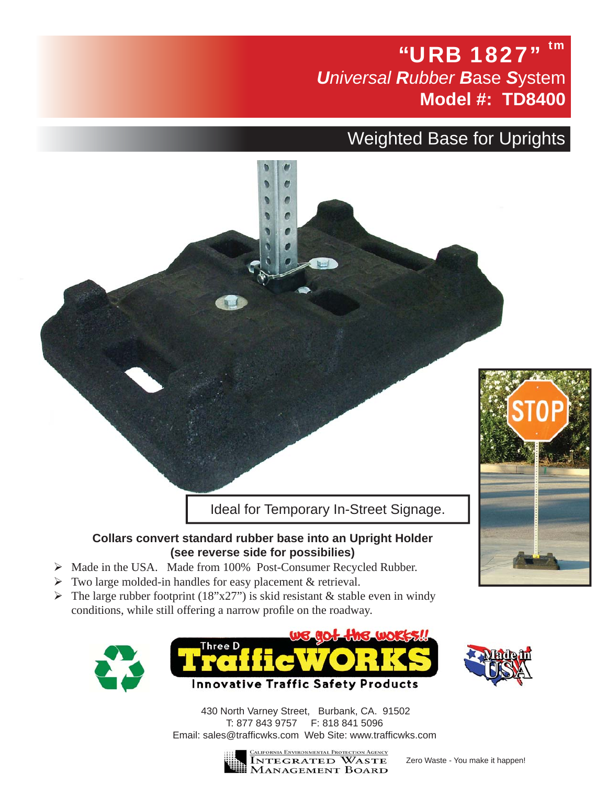## "URB 1827" *Universal Rubber B*ase *S*ystem **Model #: TD8400**

## Weighted Base for Uprights

Ideal for Temporary In-Street Signage.

## **Collars convert standard rubber base into an Upright Holder (see reverse side for possibilies)**

- ¾ Made in the USA. Made from 100% Post-Consumer Recycled Rubber.
- $\triangleright$  Two large molded-in handles for easy placement & retrieval.
- $\triangleright$  The large rubber footprint (18"x27") is skid resistant & stable even in windy conditions, while still offering a narrow profile on the roadway.





430 North Varney Street, Burbank, CA. 91502 T: 877 843 9757 F: 818 841 5096 Email: sales@trafficwks.com Web Site: www.trafficwks.com